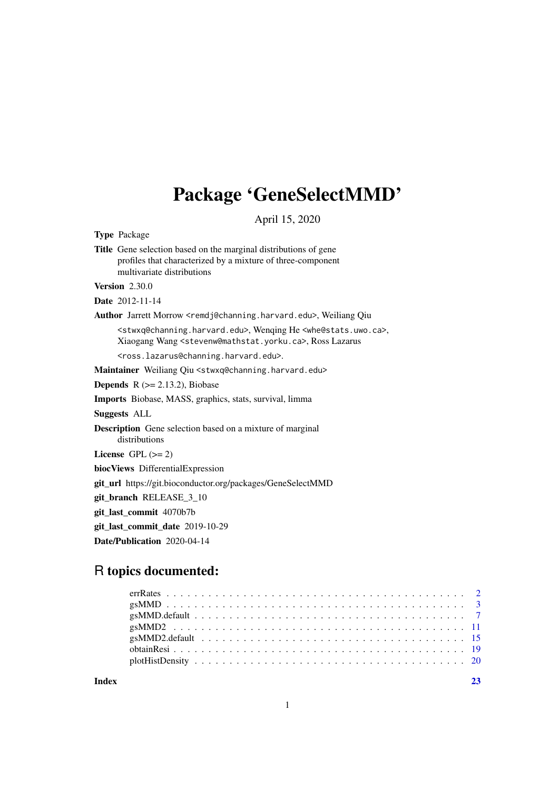## Package 'GeneSelectMMD'

April 15, 2020

<span id="page-0-0"></span>Type Package

Title Gene selection based on the marginal distributions of gene profiles that characterized by a mixture of three-component multivariate distributions

Version 2.30.0

Date 2012-11-14

Author Jarrett Morrow <remdj@channing.harvard.edu>, Weiliang Qiu

<stwxq@channing.harvard.edu>, Wenqing He <whe@stats.uwo.ca>, Xiaogang Wang <stevenw@mathstat.yorku.ca>, Ross Lazarus

<ross.lazarus@channing.harvard.edu>.

Maintainer Weiliang Qiu <stwxq@channing.harvard.edu>

**Depends**  $R$  ( $>= 2.13.2$ ), Biobase

Imports Biobase, MASS, graphics, stats, survival, limma

Suggests ALL

Description Gene selection based on a mixture of marginal distributions

License GPL  $(>= 2)$ 

biocViews DifferentialExpression

git\_url https://git.bioconductor.org/packages/GeneSelectMMD

git\_branch RELEASE\_3\_10

git\_last\_commit 4070b7b

git\_last\_commit\_date 2019-10-29

Date/Publication 2020-04-14

### R topics documented: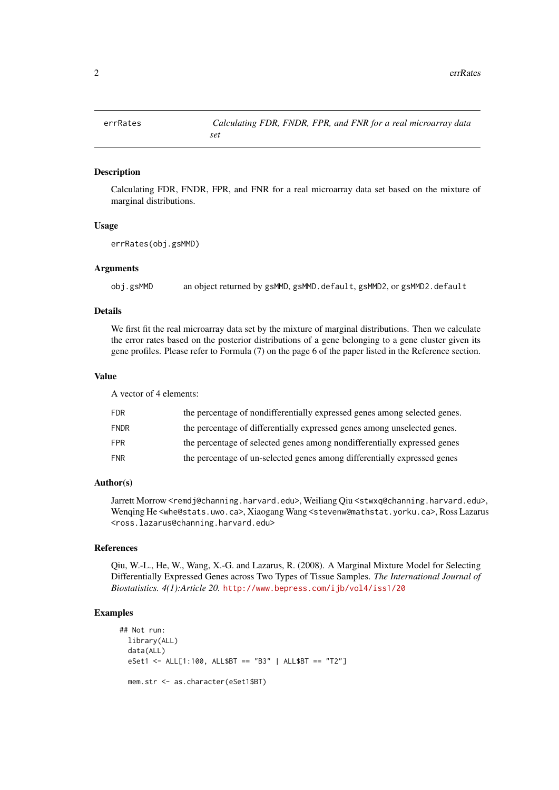#### <span id="page-1-0"></span>Description

Calculating FDR, FNDR, FPR, and FNR for a real microarray data set based on the mixture of marginal distributions.

#### Usage

```
errRates(obj.gsMMD)
```
#### Arguments

obj.gsMMD an object returned by gsMMD, gsMMD.default, gsMMD2, or gsMMD2.default

#### Details

We first fit the real microarray data set by the mixture of marginal distributions. Then we calculate the error rates based on the posterior distributions of a gene belonging to a gene cluster given its gene profiles. Please refer to Formula (7) on the page 6 of the paper listed in the Reference section.

#### Value

A vector of 4 elements:

| FDR         | the percentage of nondifferentially expressed genes among selected genes. |
|-------------|---------------------------------------------------------------------------|
| <b>FNDR</b> | the percentage of differentially expressed genes among unselected genes.  |
| FPR         | the percentage of selected genes among nondifferentially expressed genes  |
| <b>FNR</b>  | the percentage of un-selected genes among differentially expressed genes  |

#### Author(s)

Jarrett Morrow <remdj@channing.harvard.edu>, Weiliang Qiu <stwxq@channing.harvard.edu>, Wenqing He <whe@stats.uwo.ca>, Xiaogang Wang <stevenw@mathstat.yorku.ca>, Ross Lazarus <ross.lazarus@channing.harvard.edu>

#### References

Qiu, W.-L., He, W., Wang, X.-G. and Lazarus, R. (2008). A Marginal Mixture Model for Selecting Differentially Expressed Genes across Two Types of Tissue Samples. *The International Journal of Biostatistics. 4(1):Article 20.* <http://www.bepress.com/ijb/vol4/iss1/20>

```
## Not run:
 library(ALL)
 data(ALL)
 eSet1 <- ALL[1:100, ALL$BT == "B3" | ALL$BT == "T2"]
 mem.str <- as.character(eSet1$BT)
```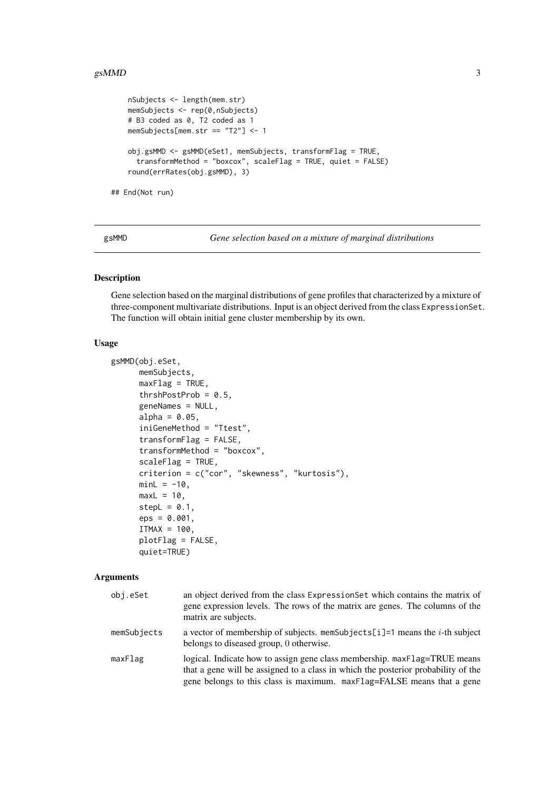```
nSubjects <- length(mem.str)
   memSubjects <- rep(0,nSubjects)
   # B3 coded as 0, T2 coded as 1
   memSubjects[mem.str == "T2"] <- 1
   obj.gsMMD <- gsMMD(eSet1, memSubjects, transformFlag = TRUE,
     transformMethod = "boxcox", scaleFlag = TRUE, quiet = FALSE)
   round(errRates(obj.gsMMD), 3)
## End(Not run)
```
<span id="page-2-1"></span>gsMMD *Gene selection based on a mixture of marginal distributions*

#### Description

Gene selection based on the marginal distributions of gene profiles that characterized by a mixture of three-component multivariate distributions. Input is an object derived from the class ExpressionSet. The function will obtain initial gene cluster membership by its own.

#### Usage

```
gsMMD(obj.eSet,
      memSubjects,
      maxFlag = TRUE,
      thrshPostProb = 0.5,
      geneNames = NULL,
      alpha = 0.05,
      iniGeneMethod = "Ttest",
      transformFlag = FALSE,
      transformMethod = "boxcox",
      scaleFlag = TRUE,
      criterion = c("cor", "skewness", "kurtosis"),
      minL = -10,
      maxL = 10,
      stepL = 0.1,
      eps = 0.001,ITMAX = 100,
      plotFlag = FALSE,
      quiet=TRUE)
```

| obj.eSet    | an object derived from the class Expression Set which contains the matrix of<br>gene expression levels. The rows of the matrix are genes. The columns of the<br>matrix are subjects.                                                     |
|-------------|------------------------------------------------------------------------------------------------------------------------------------------------------------------------------------------------------------------------------------------|
| memSubjects | a vector of membership of subjects, memsubjects [i] = 1 means the <i>i</i> -th subject<br>belongs to diseased group, 0 otherwise.                                                                                                        |
| maxFlag     | logical. Indicate how to assign gene class membership. maxFlag=TRUE means<br>that a gene will be assigned to a class in which the posterior probability of the<br>gene belongs to this class is maximum. maxFlag=FALSE means that a gene |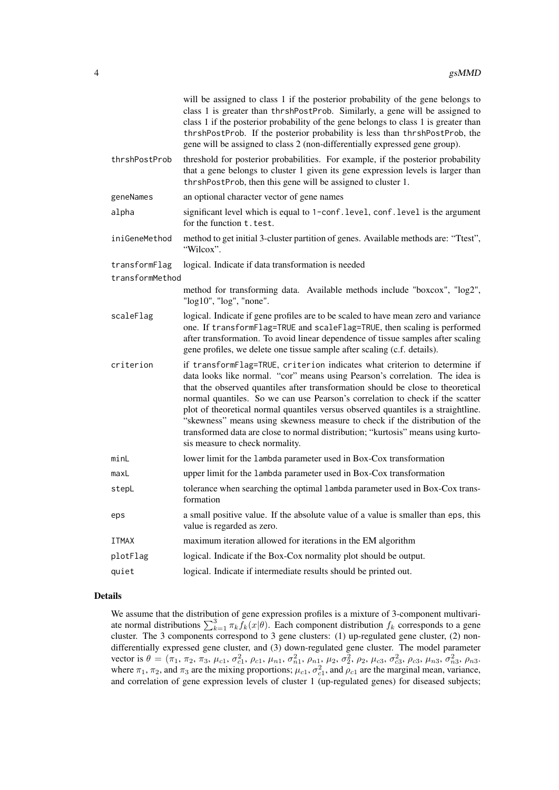|                 | will be assigned to class 1 if the posterior probability of the gene belongs to<br>class 1 is greater than thrshPostProb. Similarly, a gene will be assigned to<br>class 1 if the posterior probability of the gene belongs to class 1 is greater than<br>thrshPostProb. If the posterior probability is less than thrshPostProb, the<br>gene will be assigned to class 2 (non-differentially expressed gene group).                                                                                                                                                                                                     |
|-----------------|--------------------------------------------------------------------------------------------------------------------------------------------------------------------------------------------------------------------------------------------------------------------------------------------------------------------------------------------------------------------------------------------------------------------------------------------------------------------------------------------------------------------------------------------------------------------------------------------------------------------------|
| thrshPostProb   | threshold for posterior probabilities. For example, if the posterior probability<br>that a gene belongs to cluster 1 given its gene expression levels is larger than<br>thrshPostProb, then this gene will be assigned to cluster 1.                                                                                                                                                                                                                                                                                                                                                                                     |
| geneNames       | an optional character vector of gene names                                                                                                                                                                                                                                                                                                                                                                                                                                                                                                                                                                               |
| alpha           | significant level which is equal to 1-conf. level, conf. level is the argument<br>for the function t. test.                                                                                                                                                                                                                                                                                                                                                                                                                                                                                                              |
| iniGeneMethod   | method to get initial 3-cluster partition of genes. Available methods are: "Ttest",<br>"Wilcox".                                                                                                                                                                                                                                                                                                                                                                                                                                                                                                                         |
| transformFlag   | logical. Indicate if data transformation is needed                                                                                                                                                                                                                                                                                                                                                                                                                                                                                                                                                                       |
| transformMethod |                                                                                                                                                                                                                                                                                                                                                                                                                                                                                                                                                                                                                          |
|                 | method for transforming data. Available methods include "boxcox", "log2",<br>"log10", "log", "none".                                                                                                                                                                                                                                                                                                                                                                                                                                                                                                                     |
| scaleFlag       | logical. Indicate if gene profiles are to be scaled to have mean zero and variance<br>one. If transformFlag=TRUE and scaleFlag=TRUE, then scaling is performed<br>after transformation. To avoid linear dependence of tissue samples after scaling<br>gene profiles, we delete one tissue sample after scaling (c.f. details).                                                                                                                                                                                                                                                                                           |
| criterion       | if transformFlag=TRUE, criterion indicates what criterion to determine if<br>data looks like normal. "cor" means using Pearson's correlation. The idea is<br>that the observed quantiles after transformation should be close to theoretical<br>normal quantiles. So we can use Pearson's correlation to check if the scatter<br>plot of theoretical normal quantiles versus observed quantiles is a straightline.<br>"skewness" means using skewness measure to check if the distribution of the<br>transformed data are close to normal distribution; "kurtosis" means using kurto-<br>sis measure to check normality. |
| minL            | lower limit for the lambda parameter used in Box-Cox transformation                                                                                                                                                                                                                                                                                                                                                                                                                                                                                                                                                      |
| maxL            | upper limit for the lambda parameter used in Box-Cox transformation                                                                                                                                                                                                                                                                                                                                                                                                                                                                                                                                                      |
| stepL           | tolerance when searching the optimal lambda parameter used in Box-Cox trans-<br>formation                                                                                                                                                                                                                                                                                                                                                                                                                                                                                                                                |
| eps             | a small positive value. If the absolute value of a value is smaller than eps, this<br>value is regarded as zero.                                                                                                                                                                                                                                                                                                                                                                                                                                                                                                         |
| <b>ITMAX</b>    | maximum iteration allowed for iterations in the EM algorithm                                                                                                                                                                                                                                                                                                                                                                                                                                                                                                                                                             |
| plotFlag        | logical. Indicate if the Box-Cox normality plot should be output.                                                                                                                                                                                                                                                                                                                                                                                                                                                                                                                                                        |
| quiet           | logical. Indicate if intermediate results should be printed out.                                                                                                                                                                                                                                                                                                                                                                                                                                                                                                                                                         |

#### Details

We assume that the distribution of gene expression profiles is a mixture of 3-component multivariate normal distributions  $\sum_{k=1}^{3} \pi_k f_k(x|\theta)$ . Each component distribution  $f_k$  corresponds to a gene cluster. The 3 components correspond to 3 gene clusters: (1) up-regulated gene cluster, (2) nondifferentially expressed gene cluster, and (3) down-regulated gene cluster. The model parameter vector is  $\theta = (\pi_1, \pi_2, \pi_3, \mu_{c1}, \sigma_{c1}^2, \rho_{c1}, \mu_{n1}, \sigma_{n1}^2, \rho_{n1}, \mu_2, \sigma_2^2, \rho_2, \mu_{c3}, \sigma_{c3}^2, \rho_{c3}, \mu_{n3}, \sigma_{n3}^2, \rho_{n3}$ where  $\pi_1$ ,  $\pi_2$ , and  $\pi_3$  are the mixing proportions;  $\mu_{c1}$ ,  $\sigma_{c1}^2$ , and  $\rho_{c1}$  are the marginal mean, variance, and correlation of gene expression levels of cluster 1 (up-regulated genes) for diseased subjects;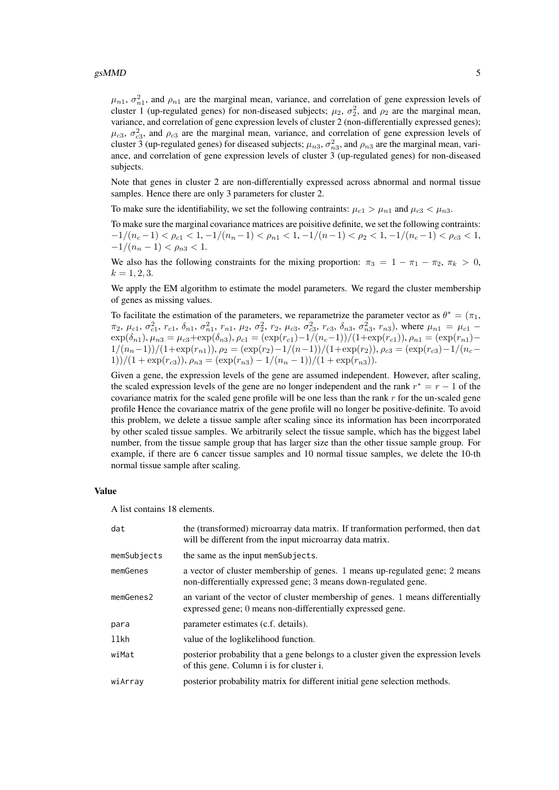#### $g_s$ MMD 5

 $\mu_{n1}$ ,  $\sigma_{n1}^2$ , and  $\rho_{n1}$  are the marginal mean, variance, and correlation of gene expression levels of cluster 1 (up-regulated genes) for non-diseased subjects;  $\mu_2$ ,  $\sigma_2^2$ , and  $\rho_2$  are the marginal mean, variance, and correlation of gene expression levels of cluster 2 (non-differentially expressed genes);  $\mu_{c3}$ ,  $\sigma_{c3}^2$ , and  $\rho_{c3}$  are the marginal mean, variance, and correlation of gene expression levels of cluster 3 (up-regulated genes) for diseased subjects;  $\mu_{n3}$ ,  $\sigma_{n3}^2$ , and  $\rho_{n3}$  are the marginal mean, variance, and correlation of gene expression levels of cluster 3 (up-regulated genes) for non-diseased subjects.

Note that genes in cluster 2 are non-differentially expressed across abnormal and normal tissue samples. Hence there are only 3 parameters for cluster 2.

To make sure the identifiability, we set the following contraints:  $\mu_{c1} > \mu_{n1}$  and  $\mu_{c3} < \mu_{n3}$ .

To make sure the marginal covariance matrices are poisitive definite, we set the following contraints:  $-1/(n_c-1) < \rho_{c1} < 1, -1/(n_n-1) < \rho_{n1} < 1, -1/(n-1) < \rho_2 < 1, -1/(n_c-1) < \rho_{c3} < 1,$  $-1/(n_n-1) < \rho_{n3} < 1.$ 

We also has the following constraints for the mixing proportion:  $\pi_3 = 1 - \pi_1 - \pi_2$ ,  $\pi_k > 0$ ,  $k = 1, 2, 3.$ 

We apply the EM algorithm to estimate the model parameters. We regard the cluster membership of genes as missing values.

To facilitate the estimation of the parameters, we reparametrize the parameter vector as  $\theta^* = (\pi_1, \pi_2)$  $\pi_2$ ,  $\mu_{c1}$ ,  $\sigma_{c1}^2$ ,  $r_{c1}$ ,  $\delta_{n1}$ ,  $\sigma_{n1}^2$ ,  $r_{n1}$ ,  $\mu_2$ ,  $\sigma_2^2$ ,  $r_2$ ,  $\mu_{c3}$ ,  $\sigma_{c3}^2$ ,  $r_{c3}$ ,  $\delta_{n3}$ ,  $\sigma_{n3}^2$ ,  $r_{n3}$ ), where  $\mu_{n1} = \mu_{c1}$  –  $\exp(\delta_{n1}), \mu_{n3} = \mu_{c3} + \exp(\delta_{n3}), \rho_{c1} = (\exp(r_{c1}) - 1/(n_c-1))/(1+\exp(r_{c1})), \rho_{n1} = (\exp(r_{n1}) 1/(n_n-1))/(1+\exp(r_{n1})), \rho_2 = (\exp(r_2)-1/(n-1))/(1+\exp(r_2)), \rho_{c3} = (\exp(r_{c3})-1/(n_c-1))$  $1)$ )/(1 + exp( $r_{c3}$ )),  $\rho_{n3} = \frac{\exp(r_{n3}) - 1}{n_n - 1}$ )/(1 + exp( $r_{n3}$ )).

Given a gene, the expression levels of the gene are assumed independent. However, after scaling, the scaled expression levels of the gene are no longer independent and the rank  $r^* = r - 1$  of the covariance matrix for the scaled gene profile will be one less than the rank  $r$  for the un-scaled gene profile Hence the covariance matrix of the gene profile will no longer be positive-definite. To avoid this problem, we delete a tissue sample after scaling since its information has been incorrporated by other scaled tissue samples. We arbitrarily select the tissue sample, which has the biggest label number, from the tissue sample group that has larger size than the other tissue sample group. For example, if there are 6 cancer tissue samples and 10 normal tissue samples, we delete the 10-th normal tissue sample after scaling.

#### Value

A list contains 18 elements.

| dat             | the (transformed) microarray data matrix. If transformation performed, then dat<br>will be different from the input microarray data matrix.    |
|-----------------|------------------------------------------------------------------------------------------------------------------------------------------------|
| memSubjects     | the same as the input memSubjects.                                                                                                             |
| memGenes        | a vector of cluster membership of genes. 1 means up-regulated gene; 2 means<br>non-differentially expressed gene; 3 means down-regulated gene. |
| $m$ em $Genes2$ | an variant of the vector of cluster membership of genes. 1 means differentially<br>expressed gene; 0 means non-differentially expressed gene.  |
| para            | parameter estimates (c.f. details).                                                                                                            |
| llkh            | value of the loglikelihood function.                                                                                                           |
| wiMat           | posterior probability that a gene belongs to a cluster given the expression levels<br>of this gene. Column i is for cluster i.                 |
| wiArray         | posterior probability matrix for different initial gene selection methods.                                                                     |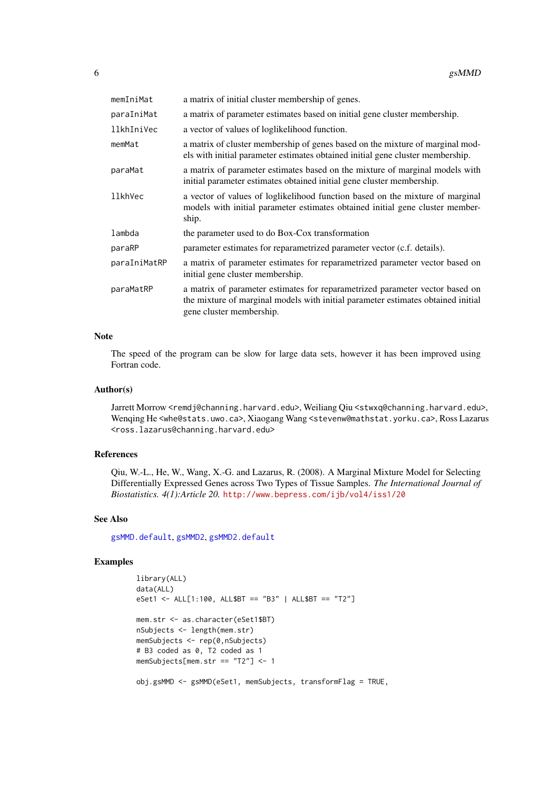<span id="page-5-0"></span>

| memIniMat      | a matrix of initial cluster membership of genes.                                                                                                                                             |
|----------------|----------------------------------------------------------------------------------------------------------------------------------------------------------------------------------------------|
| paraIniMat     | a matrix of parameter estimates based on initial gene cluster membership.                                                                                                                    |
| llkhIniVec     | a vector of values of loglikelihood function.                                                                                                                                                |
| memMat         | a matrix of cluster membership of genes based on the mixture of marginal mod-<br>els with initial parameter estimates obtained initial gene cluster membership.                              |
| paraMat        | a matrix of parameter estimates based on the mixture of marginal models with<br>initial parameter estimates obtained initial gene cluster membership.                                        |
| <b>llkhVec</b> | a vector of values of loglikelihood function based on the mixture of marginal<br>models with initial parameter estimates obtained initial gene cluster member-<br>ship.                      |
| lambda         | the parameter used to do Box-Cox transformation                                                                                                                                              |
| paraRP         | parameter estimates for reparametrized parameter vector (c.f. details).                                                                                                                      |
| paraIniMatRP   | a matrix of parameter estimates for reparametrized parameter vector based on<br>initial gene cluster membership.                                                                             |
| paraMatRP      | a matrix of parameter estimates for reparametrized parameter vector based on<br>the mixture of marginal models with initial parameter estimates obtained initial<br>gene cluster membership. |

#### Note

The speed of the program can be slow for large data sets, however it has been improved using Fortran code.

#### Author(s)

Jarrett Morrow <remdj@channing.harvard.edu>, Weiliang Qiu <stwxq@channing.harvard.edu>, Wenqing He <whe@stats.uwo.ca>, Xiaogang Wang <stevenw@mathstat.yorku.ca>, Ross Lazarus <ross.lazarus@channing.harvard.edu>

#### References

Qiu, W.-L., He, W., Wang, X.-G. and Lazarus, R. (2008). A Marginal Mixture Model for Selecting Differentially Expressed Genes across Two Types of Tissue Samples. *The International Journal of Biostatistics. 4(1):Article 20.* <http://www.bepress.com/ijb/vol4/iss1/20>

#### See Also

[gsMMD.default](#page-6-1), [gsMMD2](#page-10-1), [gsMMD2.default](#page-14-1)

```
library(ALL)
data(ALL)
eSet1 <- ALL[1:100, ALL$BT == "B3" | ALL$BT == "T2"]
mem.str <- as.character(eSet1$BT)
nSubjects <- length(mem.str)
memSubjects <- rep(0,nSubjects)
# B3 coded as 0, T2 coded as 1
memSubjects[mem.str == "T2"] <- 1
obj.gsMMD <- gsMMD(eSet1, memSubjects, transformFlag = TRUE,
```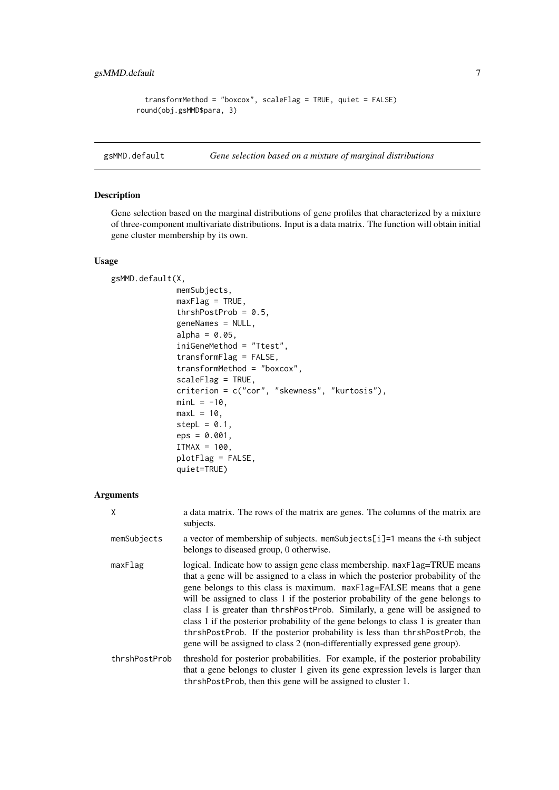```
transformMethod = "boxcox", scaleFlag = TRUE, quiet = FALSE)
round(obj.gsMMD$para, 3)
```
<span id="page-6-1"></span>gsMMD.default *Gene selection based on a mixture of marginal distributions*

#### Description

Gene selection based on the marginal distributions of gene profiles that characterized by a mixture of three-component multivariate distributions. Input is a data matrix. The function will obtain initial gene cluster membership by its own.

#### Usage

```
gsMMD.default(X,
              memSubjects,
              maxFlag = TRUE,thrshPostProb = 0.5,
              geneNames = NULL,
              alpha = 0.05,
              iniGeneMethod = "Ttest",
              transformFlag = FALSE,
              transformMethod = "boxcox",
              scaleFlag = TRUE,
              criterion = c("cor", "skewness", "kurtosis"),
              minL = -10,
              maxL = 10,
              stepL = 0.1,
              eps = 0.001,
              ITMAX = 100,
              plotFlag = FALSE,
              quiet=TRUE)
```

| X             | a data matrix. The rows of the matrix are genes. The columns of the matrix are<br>subjects.                                                                                                                                                                                                                                                                                                                                                                                                                                                                                                                                                                      |
|---------------|------------------------------------------------------------------------------------------------------------------------------------------------------------------------------------------------------------------------------------------------------------------------------------------------------------------------------------------------------------------------------------------------------------------------------------------------------------------------------------------------------------------------------------------------------------------------------------------------------------------------------------------------------------------|
| memSubjects   | a vector of membership of subjects. memSubjects[i]=1 means the <i>i</i> -th subject<br>belongs to diseased group, 0 otherwise.                                                                                                                                                                                                                                                                                                                                                                                                                                                                                                                                   |
| maxFlag       | logical. Indicate how to assign gene class membership. maxFlag=TRUE means<br>that a gene will be assigned to a class in which the posterior probability of the<br>gene belongs to this class is maximum. maxFlag=FALSE means that a gene<br>will be assigned to class 1 if the posterior probability of the gene belongs to<br>class 1 is greater than thrshPostProb. Similarly, a gene will be assigned to<br>class 1 if the posterior probability of the gene belongs to class 1 is greater than<br>thrshPostProb. If the posterior probability is less than thrshPostProb, the<br>gene will be assigned to class 2 (non-differentially expressed gene group). |
| thrshPostProb | threshold for posterior probabilities. For example, if the posterior probability<br>that a gene belongs to cluster 1 given its gene expression levels is larger than<br>thrshPostProb, then this gene will be assigned to cluster 1.                                                                                                                                                                                                                                                                                                                                                                                                                             |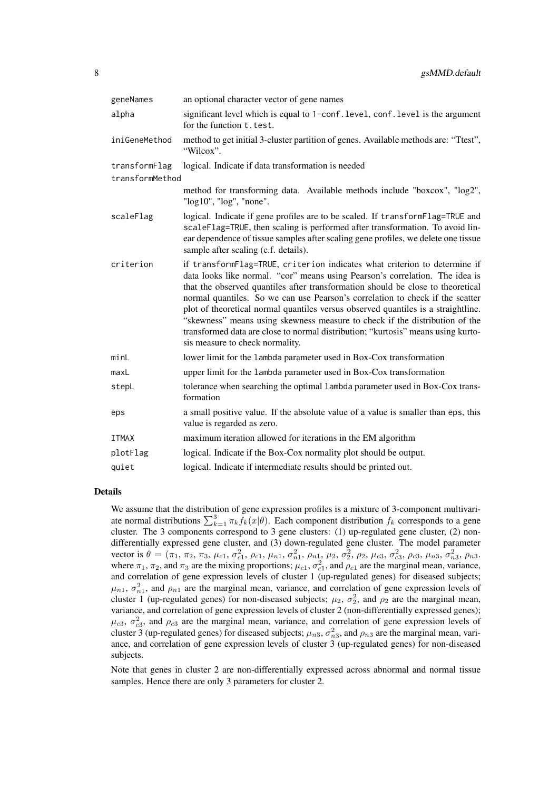| geneNames       | an optional character vector of gene names                                                                                                                                                                                                                                                                                                                                                                                                                                                                                                                                                                               |
|-----------------|--------------------------------------------------------------------------------------------------------------------------------------------------------------------------------------------------------------------------------------------------------------------------------------------------------------------------------------------------------------------------------------------------------------------------------------------------------------------------------------------------------------------------------------------------------------------------------------------------------------------------|
| alpha           | significant level which is equal to 1-conf. level, conf. level is the argument<br>for the function t. test.                                                                                                                                                                                                                                                                                                                                                                                                                                                                                                              |
| iniGeneMethod   | method to get initial 3-cluster partition of genes. Available methods are: "Ttest",<br>"Wilcox".                                                                                                                                                                                                                                                                                                                                                                                                                                                                                                                         |
| transformFlag   | logical. Indicate if data transformation is needed                                                                                                                                                                                                                                                                                                                                                                                                                                                                                                                                                                       |
| transformMethod |                                                                                                                                                                                                                                                                                                                                                                                                                                                                                                                                                                                                                          |
|                 | method for transforming data. Available methods include "boxcox", "log2",<br>"log10", "log", "none".                                                                                                                                                                                                                                                                                                                                                                                                                                                                                                                     |
| scaleFlag       | logical. Indicate if gene profiles are to be scaled. If transformFlag=TRUE and<br>scaleFlag=TRUE, then scaling is performed after transformation. To avoid lin-<br>ear dependence of tissue samples after scaling gene profiles, we delete one tissue<br>sample after scaling (c.f. details).                                                                                                                                                                                                                                                                                                                            |
| criterion       | if transformFlag=TRUE, criterion indicates what criterion to determine if<br>data looks like normal. "cor" means using Pearson's correlation. The idea is<br>that the observed quantiles after transformation should be close to theoretical<br>normal quantiles. So we can use Pearson's correlation to check if the scatter<br>plot of theoretical normal quantiles versus observed quantiles is a straightline.<br>"skewness" means using skewness measure to check if the distribution of the<br>transformed data are close to normal distribution; "kurtosis" means using kurto-<br>sis measure to check normality. |
| minL            | lower limit for the lambda parameter used in Box-Cox transformation                                                                                                                                                                                                                                                                                                                                                                                                                                                                                                                                                      |
| maxL            | upper limit for the lambda parameter used in Box-Cox transformation                                                                                                                                                                                                                                                                                                                                                                                                                                                                                                                                                      |
| stepL           | tolerance when searching the optimal lambda parameter used in Box-Cox trans-<br>formation                                                                                                                                                                                                                                                                                                                                                                                                                                                                                                                                |
| eps             | a small positive value. If the absolute value of a value is smaller than eps, this<br>value is regarded as zero.                                                                                                                                                                                                                                                                                                                                                                                                                                                                                                         |
| <b>ITMAX</b>    | maximum iteration allowed for iterations in the EM algorithm                                                                                                                                                                                                                                                                                                                                                                                                                                                                                                                                                             |
| plotFlag        | logical. Indicate if the Box-Cox normality plot should be output.                                                                                                                                                                                                                                                                                                                                                                                                                                                                                                                                                        |
| quiet           | logical. Indicate if intermediate results should be printed out.                                                                                                                                                                                                                                                                                                                                                                                                                                                                                                                                                         |
|                 |                                                                                                                                                                                                                                                                                                                                                                                                                                                                                                                                                                                                                          |

#### Details

We assume that the distribution of gene expression profiles is a mixture of 3-component multivariate normal distributions  $\sum_{k=1}^{3} \pi_k f_k(x|\theta)$ . Each component distribution  $f_k$  corresponds to a gene cluster. The 3 components correspond to 3 gene clusters: (1) up-regulated gene cluster, (2) nondifferentially expressed gene cluster, and (3) down-regulated gene cluster. The model parameter vector is  $\theta = (\pi_1, \pi_2, \pi_3, \mu_{c1}, \sigma_{c1}^2, \rho_{c1}, \mu_{n1}, \sigma_{n1}^2, \rho_{n1}, \mu_2, \sigma_2^2, \rho_2, \mu_{c3}, \sigma_{c3}^2, \rho_{c3}, \mu_{n3}, \sigma_{n3}^2, \rho_{n3}$ where  $\pi_1$ ,  $\pi_2$ , and  $\pi_3$  are the mixing proportions;  $\mu_{c1}$ ,  $\sigma_{c1}^2$ , and  $\rho_{c1}$  are the marginal mean, variance, and correlation of gene expression levels of cluster 1 (up-regulated genes) for diseased subjects;  $\mu_{n1}$ ,  $\sigma_{n1}^2$ , and  $\rho_{n1}$  are the marginal mean, variance, and correlation of gene expression levels of cluster 1 (up-regulated genes) for non-diseased subjects;  $\mu_2$ ,  $\sigma_2^2$ , and  $\rho_2$  are the marginal mean, variance, and correlation of gene expression levels of cluster 2 (non-differentially expressed genes);  $\mu_{c3}$ ,  $\sigma_{c3}^2$ , and  $\rho_{c3}$  are the marginal mean, variance, and correlation of gene expression levels of cluster 3 (up-regulated genes) for diseased subjects;  $\mu_{n3}$ ,  $\sigma_{n3}^2$ , and  $\rho_{n3}$  are the marginal mean, variance, and correlation of gene expression levels of cluster 3 (up-regulated genes) for non-diseased subjects.

Note that genes in cluster 2 are non-differentially expressed across abnormal and normal tissue samples. Hence there are only 3 parameters for cluster 2.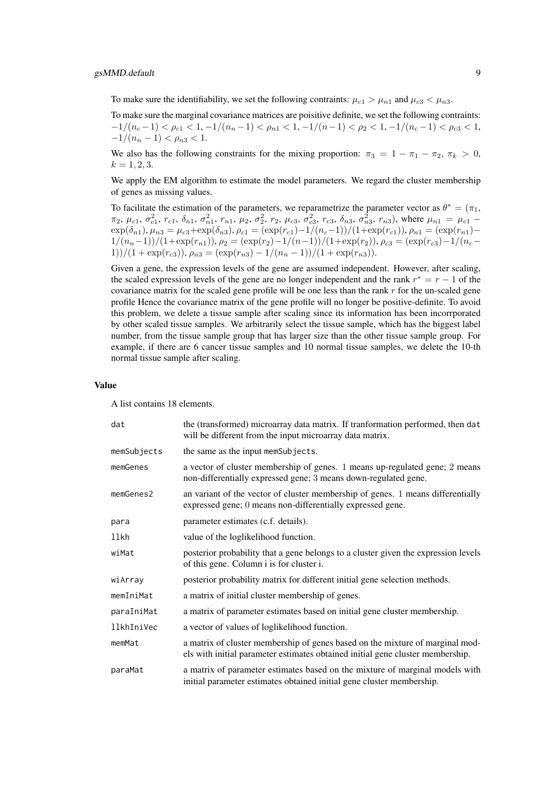To make sure the identifiability, we set the following contraints:  $\mu_{c1} > \mu_{n1}$  and  $\mu_{c3} < \mu_{n3}$ .

To make sure the marginal covariance matrices are poisitive definite, we set the following contraints:  $-1/(n_c-1) < \rho_{c1} < 1, -1/(n_n-1) < \rho_{n1} < 1, -1/(n-1) < \rho_2 < 1, -1/(n_c-1) < \rho_{c3} < 1,$  $-1/(n_n-1) < \rho_{n3} < 1.$ 

We also has the following constraints for the mixing proportion:  $\pi_3 = 1 - \pi_1 - \pi_2$ ,  $\pi_k > 0$ ,  $k = 1, 2, 3.$ 

We apply the EM algorithm to estimate the model parameters. We regard the cluster membership of genes as missing values.

To facilitate the estimation of the parameters, we reparametrize the parameter vector as  $\theta^* = (\pi_1, \pi_2)$  $\pi_2$ ,  $\mu_{c1}$ ,  $\sigma_{c1}^2$ ,  $r_{c1}$ ,  $\delta_{n1}$ ,  $\sigma_{n1}^2$ ,  $r_{n1}$ ,  $\mu_2$ ,  $\sigma_2^2$ ,  $r_2$ ,  $\mu_{c3}$ ,  $\sigma_{c3}^2$ ,  $r_{c3}$ ,  $\delta_{n3}$ ,  $\sigma_{n3}^2$ ,  $r_{n3}$ ), where  $\mu_{n1} = \mu_{c1}$  –  $\exp(\delta_{n1}), \mu_{n3} = \mu_{c3} + \exp(\delta_{n3}), \rho_{c1} = (\exp(r_{c1}) - 1/(n_c-1))/(1+\exp(r_{c1})), \rho_{n1} = (\exp(r_{n1}) 1/(n_n-1))/(1+\exp(r_{n1})), \rho_2 = (\exp(r_2)-1/(n-1))/(1+\exp(r_2)), \rho_{c3} = (\exp(r_{c3})-1/(n_c-1))$  $1)$ )/(1 + exp( $r_{c3}$ )),  $\rho_{n3} = \frac{\exp(r_{n3}) - 1}{n_n - 1}$ )/(1 + exp( $r_{n3}$ )).

Given a gene, the expression levels of the gene are assumed independent. However, after scaling, the scaled expression levels of the gene are no longer independent and the rank  $r^* = r - 1$  of the covariance matrix for the scaled gene profile will be one less than the rank  $r$  for the un-scaled gene profile Hence the covariance matrix of the gene profile will no longer be positive-definite. To avoid this problem, we delete a tissue sample after scaling since its information has been incorrporated by other scaled tissue samples. We arbitrarily select the tissue sample, which has the biggest label number, from the tissue sample group that has larger size than the other tissue sample group. For example, if there are 6 cancer tissue samples and 10 normal tissue samples, we delete the 10-th normal tissue sample after scaling.

#### Value

A list contains 18 elements.

| dat         | the (transformed) microarray data matrix. If tranformation performed, then dat<br>will be different from the input microarray data matrix.                      |
|-------------|-----------------------------------------------------------------------------------------------------------------------------------------------------------------|
| memSubjects | the same as the input memSubjects.                                                                                                                              |
| memGenes    | a vector of cluster membership of genes. 1 means up-regulated gene; 2 means<br>non-differentially expressed gene; 3 means down-regulated gene.                  |
| memGenes2   | an variant of the vector of cluster membership of genes. 1 means differentially<br>expressed gene; 0 means non-differentially expressed gene.                   |
| para        | parameter estimates (c.f. details).                                                                                                                             |
| llkh        | value of the loglikelihood function.                                                                                                                            |
| wiMat       | posterior probability that a gene belongs to a cluster given the expression levels<br>of this gene. Column i is for cluster i.                                  |
| wiArray     | posterior probability matrix for different initial gene selection methods.                                                                                      |
| memIniMat   | a matrix of initial cluster membership of genes.                                                                                                                |
| paraIniMat  | a matrix of parameter estimates based on initial gene cluster membership.                                                                                       |
| llkhIniVec  | a vector of values of loglikelihood function.                                                                                                                   |
| memMat      | a matrix of cluster membership of genes based on the mixture of marginal mod-<br>els with initial parameter estimates obtained initial gene cluster membership. |
| paraMat     | a matrix of parameter estimates based on the mixture of marginal models with<br>initial parameter estimates obtained initial gene cluster membership.           |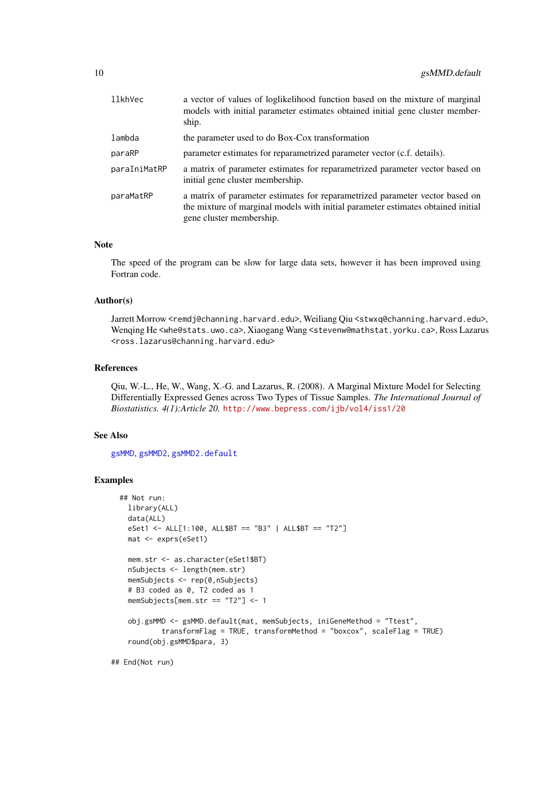<span id="page-9-0"></span>

| llkhVec      | a vector of values of loglikelihood function based on the mixture of marginal<br>models with initial parameter estimates obtained initial gene cluster member-<br>ship.                      |
|--------------|----------------------------------------------------------------------------------------------------------------------------------------------------------------------------------------------|
| lambda       | the parameter used to do Box-Cox transformation                                                                                                                                              |
| paraRP       | parameter estimates for reparametrized parameter vector (c.f. details).                                                                                                                      |
| paraIniMatRP | a matrix of parameter estimates for reparametrized parameter vector based on<br>initial gene cluster membership.                                                                             |
| paraMatRP    | a matrix of parameter estimates for reparametrized parameter vector based on<br>the mixture of marginal models with initial parameter estimates obtained initial<br>gene cluster membership. |

#### Note

The speed of the program can be slow for large data sets, however it has been improved using Fortran code.

#### Author(s)

Jarrett Morrow <remdj@channing.harvard.edu>, Weiliang Qiu <stwxq@channing.harvard.edu>, Wenqing He <whe@stats.uwo.ca>, Xiaogang Wang <stevenw@mathstat.yorku.ca>, Ross Lazarus <ross.lazarus@channing.harvard.edu>

#### References

Qiu, W.-L., He, W., Wang, X.-G. and Lazarus, R. (2008). A Marginal Mixture Model for Selecting Differentially Expressed Genes across Two Types of Tissue Samples. *The International Journal of Biostatistics. 4(1):Article 20.* <http://www.bepress.com/ijb/vol4/iss1/20>

#### See Also

[gsMMD](#page-2-1), [gsMMD2](#page-10-1), [gsMMD2.default](#page-14-1)

```
## Not run:
 library(ALL)
 data(ALL)
 eSet1 <- ALL[1:100, ALL$BT == "B3" | ALL$BT == "T2"]
 mat <- exprs(eSet1)
 mem.str <- as.character(eSet1$BT)
 nSubjects <- length(mem.str)
 memSubjects <- rep(0,nSubjects)
 # B3 coded as 0, T2 coded as 1
 memSubjects[mem.str == "T2"] <- 1
 obj.gsMMD <- gsMMD.default(mat, memSubjects, iniGeneMethod = "Ttest",
          transformFlag = TRUE, transformMethod = "boxcox", scaleFlag = TRUE)
 round(obj.gsMMD$para, 3)
```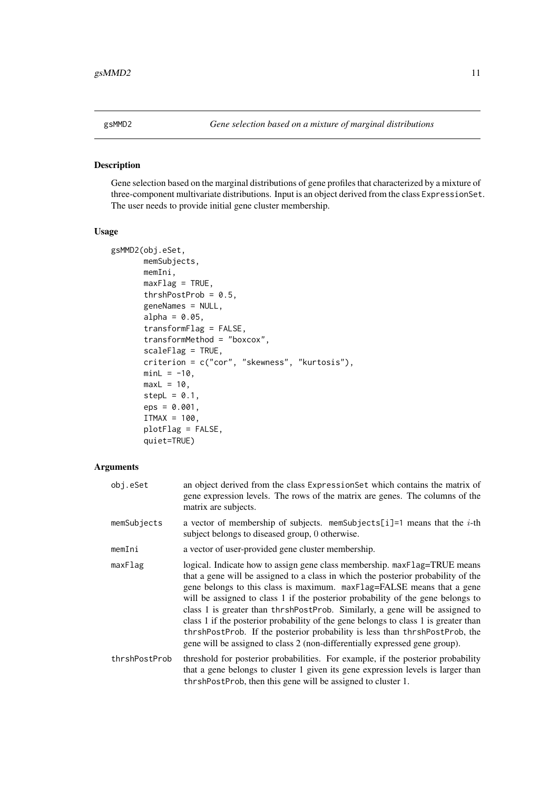<span id="page-10-1"></span><span id="page-10-0"></span>

#### Description

Gene selection based on the marginal distributions of gene profiles that characterized by a mixture of three-component multivariate distributions. Input is an object derived from the class ExpressionSet. The user needs to provide initial gene cluster membership.

#### Usage

```
gsMMD2(obj.eSet,
       memSubjects,
       memIni,
       maxFlag = TRUE,thrshPostProb = 0.5,
       geneNames = NULL,
       alpha = 0.05,
       transformFlag = FALSE,
       transformMethod = "boxcox",
       scaleFlag = TRUE,
       criterion = c("cor", "skewness", "kurtosis"),
       minL = -10,
       maxL = 10,
       stepL = 0.1,
       eps = 0.001,
       ITMAX = 100,
       plotFlag = FALSE,
       quiet=TRUE)
```

| obj.eSet      | an object derived from the class ExpressionSet which contains the matrix of<br>gene expression levels. The rows of the matrix are genes. The columns of the<br>matrix are subjects.                                                                                                                                                                                                                                                                                                                                                                                                                                                                              |
|---------------|------------------------------------------------------------------------------------------------------------------------------------------------------------------------------------------------------------------------------------------------------------------------------------------------------------------------------------------------------------------------------------------------------------------------------------------------------------------------------------------------------------------------------------------------------------------------------------------------------------------------------------------------------------------|
| memSubjects   | a vector of membership of subjects. memSubjects[i]=1 means that the <i>i</i> -th<br>subject belongs to diseased group, 0 otherwise.                                                                                                                                                                                                                                                                                                                                                                                                                                                                                                                              |
| memIni        | a vector of user-provided gene cluster membership.                                                                                                                                                                                                                                                                                                                                                                                                                                                                                                                                                                                                               |
| maxFlag       | logical. Indicate how to assign gene class membership. maxFlag=TRUE means<br>that a gene will be assigned to a class in which the posterior probability of the<br>gene belongs to this class is maximum. maxFlag=FALSE means that a gene<br>will be assigned to class 1 if the posterior probability of the gene belongs to<br>class 1 is greater than thrshPostProb. Similarly, a gene will be assigned to<br>class 1 if the posterior probability of the gene belongs to class 1 is greater than<br>thrshPostProb. If the posterior probability is less than thrshPostProb, the<br>gene will be assigned to class 2 (non-differentially expressed gene group). |
| thrshPostProb | threshold for posterior probabilities. For example, if the posterior probability<br>that a gene belongs to cluster 1 given its gene expression levels is larger than<br>thrshPostProb, then this gene will be assigned to cluster 1.                                                                                                                                                                                                                                                                                                                                                                                                                             |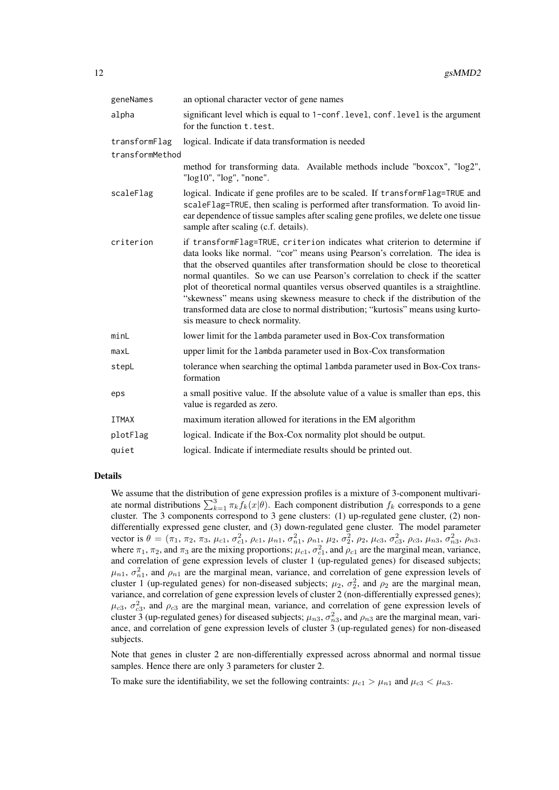| geneNames       | an optional character vector of gene names                                                                                                                                                                                                                                                                                                                                                                                                                                                                                                                                                                               |
|-----------------|--------------------------------------------------------------------------------------------------------------------------------------------------------------------------------------------------------------------------------------------------------------------------------------------------------------------------------------------------------------------------------------------------------------------------------------------------------------------------------------------------------------------------------------------------------------------------------------------------------------------------|
| alpha           | significant level which is equal to 1-conf. level, conf. level is the argument<br>for the function t. test.                                                                                                                                                                                                                                                                                                                                                                                                                                                                                                              |
| transformFlag   | logical. Indicate if data transformation is needed                                                                                                                                                                                                                                                                                                                                                                                                                                                                                                                                                                       |
| transformMethod |                                                                                                                                                                                                                                                                                                                                                                                                                                                                                                                                                                                                                          |
|                 | method for transforming data. Available methods include "boxcox", "log2",<br>"log10", "log", "none".                                                                                                                                                                                                                                                                                                                                                                                                                                                                                                                     |
| scaleFlag       | logical. Indicate if gene profiles are to be scaled. If transformFlag=TRUE and<br>scaleFlag=TRUE, then scaling is performed after transformation. To avoid lin-<br>ear dependence of tissue samples after scaling gene profiles, we delete one tissue<br>sample after scaling (c.f. details).                                                                                                                                                                                                                                                                                                                            |
| criterion       | if transformFlag=TRUE, criterion indicates what criterion to determine if<br>data looks like normal. "cor" means using Pearson's correlation. The idea is<br>that the observed quantiles after transformation should be close to theoretical<br>normal quantiles. So we can use Pearson's correlation to check if the scatter<br>plot of theoretical normal quantiles versus observed quantiles is a straightline.<br>"skewness" means using skewness measure to check if the distribution of the<br>transformed data are close to normal distribution; "kurtosis" means using kurto-<br>sis measure to check normality. |
| minL            | lower limit for the 1 ambda parameter used in Box-Cox transformation                                                                                                                                                                                                                                                                                                                                                                                                                                                                                                                                                     |
| maxL            | upper limit for the lambda parameter used in Box-Cox transformation                                                                                                                                                                                                                                                                                                                                                                                                                                                                                                                                                      |
| stepL           | tolerance when searching the optimal lambda parameter used in Box-Cox trans-<br>formation                                                                                                                                                                                                                                                                                                                                                                                                                                                                                                                                |
| eps             | a small positive value. If the absolute value of a value is smaller than eps, this<br>value is regarded as zero.                                                                                                                                                                                                                                                                                                                                                                                                                                                                                                         |
| <b>ITMAX</b>    | maximum iteration allowed for iterations in the EM algorithm                                                                                                                                                                                                                                                                                                                                                                                                                                                                                                                                                             |
| plotFlag        | logical. Indicate if the Box-Cox normality plot should be output.                                                                                                                                                                                                                                                                                                                                                                                                                                                                                                                                                        |
| quiet           | logical. Indicate if intermediate results should be printed out.                                                                                                                                                                                                                                                                                                                                                                                                                                                                                                                                                         |
|                 |                                                                                                                                                                                                                                                                                                                                                                                                                                                                                                                                                                                                                          |

#### Details

We assume that the distribution of gene expression profiles is a mixture of 3-component multivariate normal distributions  $\sum_{k=1}^{3} \pi_k f_k(x|\theta)$ . Each component distribution  $f_k$  corresponds to a gene cluster. The 3 components correspond to 3 gene clusters: (1) up-regulated gene cluster, (2) nondifferentially expressed gene cluster, and (3) down-regulated gene cluster. The model parameter vector is  $\theta = (\pi_1, \pi_2, \pi_3, \mu_{c1}, \sigma_{c1}^2, \rho_{c1}, \mu_{n1}, \sigma_{n1}^2, \rho_{n1}, \mu_2, \sigma_2^2, \rho_2, \mu_{c3}, \sigma_{c3}^2, \rho_{c3}, \mu_{n3}, \sigma_{n3}^2, \rho_{n3}$ where  $\pi_1$ ,  $\pi_2$ , and  $\pi_3$  are the mixing proportions;  $\mu_{c1}$ ,  $\sigma_{c1}^2$ , and  $\rho_{c1}$  are the marginal mean, variance, and correlation of gene expression levels of cluster 1 (up-regulated genes) for diseased subjects;  $\mu_{n1}$ ,  $\sigma_{n1}^2$ , and  $\rho_{n1}$  are the marginal mean, variance, and correlation of gene expression levels of cluster 1 (up-regulated genes) for non-diseased subjects;  $\mu_2$ ,  $\sigma_2^2$ , and  $\rho_2$  are the marginal mean, variance, and correlation of gene expression levels of cluster 2 (non-differentially expressed genes);  $\mu_{c3}$ ,  $\sigma_{c3}^2$ , and  $\rho_{c3}$  are the marginal mean, variance, and correlation of gene expression levels of cluster 3 (up-regulated genes) for diseased subjects;  $\mu_{n3}$ ,  $\sigma_{n3}^2$ , and  $\rho_{n3}$  are the marginal mean, variance, and correlation of gene expression levels of cluster 3 (up-regulated genes) for non-diseased subjects.

Note that genes in cluster 2 are non-differentially expressed across abnormal and normal tissue samples. Hence there are only 3 parameters for cluster 2.

To make sure the identifiability, we set the following contraints:  $\mu_{c1} > \mu_{n1}$  and  $\mu_{c3} < \mu_{n3}$ .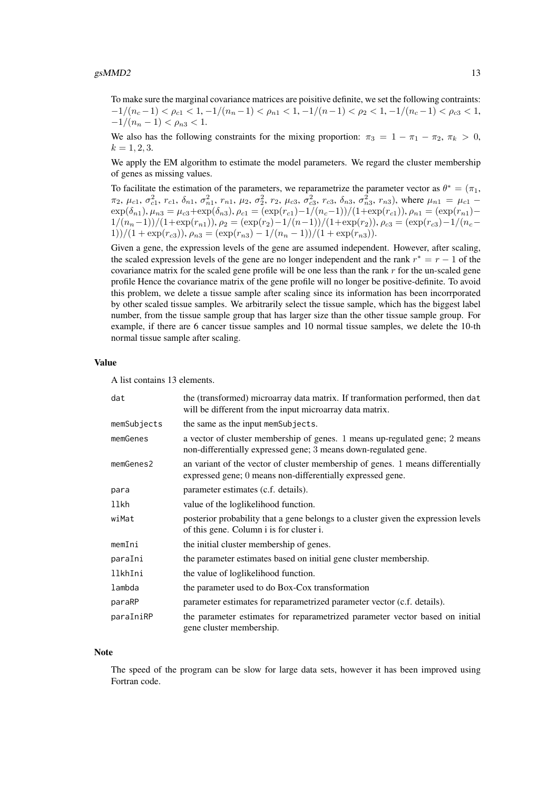To make sure the marginal covariance matrices are poisitive definite, we set the following contraints:  $-1/(n_c-1) < \rho_{c1} < 1, -1/(n_n-1) < \rho_{n1} < 1, -1/(n-1) < \rho_2 < 1, -1/(n_c-1) < \rho_{c3} < 1,$  $-1/(n_n-1) < \rho_{n3} < 1.$ 

We also has the following constraints for the mixing proportion:  $\pi_3 = 1 - \pi_1 - \pi_2$ ,  $\pi_k > 0$ ,  $k = 1, 2, 3.$ 

We apply the EM algorithm to estimate the model parameters. We regard the cluster membership of genes as missing values.

To facilitate the estimation of the parameters, we reparametrize the parameter vector as  $\theta^* = (\pi_1, \pi_2)$  $\pi_2$ ,  $\mu_{c1}$ ,  $\sigma_{c1}^2$ ,  $r_{c1}$ ,  $\delta_{n1}$ ,  $\sigma_{n1}^2$ ,  $r_{n1}$ ,  $\mu_2$ ,  $\sigma_2^2$ ,  $r_2$ ,  $\mu_{c3}$ ,  $\sigma_{c3}^2$ ,  $r_{c3}$ ,  $\delta_{n3}$ ,  $\sigma_{n3}^2$ ,  $r_{n3}$ ), where  $\mu_{n1} = \mu_{c1}$  - $\exp(\delta_{n1}), \mu_{n3} = \mu_{c3} + \exp(\delta_{n3}), \rho_{c1} = (\exp(r_{c1}) - 1/(n_c-1))/(1+\exp(r_{c1})), \rho_{n1} = (\exp(r_{n1}) 1/(n_n-1))/(1+\exp(r_{n1})), \rho_2 = (\exp(r_2)-1/(n-1))/(1+\exp(r_2)), \rho_{c3} = (\exp(r_{c3})-1/(n_c-1))$ 1))/(1 + exp(r<sub>c3</sub>)),  $\rho_{n3} = \frac{\exp(r_{n3}) - 1}{n_n - 1}$ )/(1 + exp(r<sub>n3</sub>)).

Given a gene, the expression levels of the gene are assumed independent. However, after scaling, the scaled expression levels of the gene are no longer independent and the rank  $r^* = r - 1$  of the covariance matrix for the scaled gene profile will be one less than the rank  $r$  for the un-scaled gene profile Hence the covariance matrix of the gene profile will no longer be positive-definite. To avoid this problem, we delete a tissue sample after scaling since its information has been incorrporated by other scaled tissue samples. We arbitrarily select the tissue sample, which has the biggest label number, from the tissue sample group that has larger size than the other tissue sample group. For example, if there are 6 cancer tissue samples and 10 normal tissue samples, we delete the 10-th normal tissue sample after scaling.

#### Value

A list contains 13 elements.

| dat         | the (transformed) microarray data matrix. If tranformation performed, then dat<br>will be different from the input microarray data matrix.     |
|-------------|------------------------------------------------------------------------------------------------------------------------------------------------|
| memSubjects | the same as the input memSubjects.                                                                                                             |
| memGenes    | a vector of cluster membership of genes. 1 means up-regulated gene; 2 means<br>non-differentially expressed gene; 3 means down-regulated gene. |
| memGenes2   | an variant of the vector of cluster membership of genes. 1 means differentially<br>expressed gene; 0 means non-differentially expressed gene.  |
| para        | parameter estimates (c.f. details).                                                                                                            |
| llkh        | value of the loglikelihood function.                                                                                                           |
| wiMat       | posterior probability that a gene belongs to a cluster given the expression levels<br>of this gene. Column i is for cluster i.                 |
| memIni      | the initial cluster membership of genes.                                                                                                       |
| paraIni     | the parameter estimates based on initial gene cluster membership.                                                                              |
| llkhIni     | the value of loglikelihood function.                                                                                                           |
| lambda      | the parameter used to do Box-Cox transformation                                                                                                |
| paraRP      | parameter estimates for reparametrized parameter vector (c.f. details).                                                                        |
| paraIniRP   | the parameter estimates for reparametrized parameter vector based on initial<br>gene cluster membership.                                       |

#### Note

The speed of the program can be slow for large data sets, however it has been improved using Fortran code.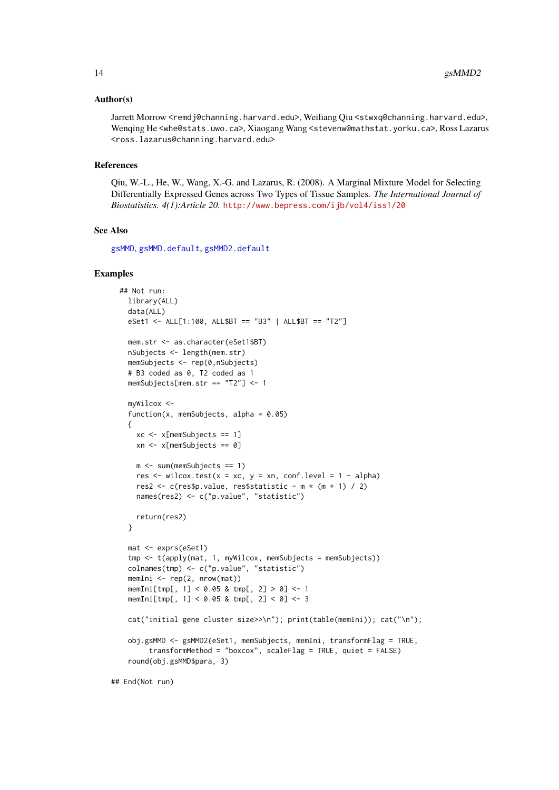#### <span id="page-13-0"></span>Author(s)

Jarrett Morrow <remdj@channing.harvard.edu>, Weiliang Qiu <stwxq@channing.harvard.edu>, Wenqing He <whe@stats.uwo.ca>, Xiaogang Wang <stevenw@mathstat.yorku.ca>, Ross Lazarus <ross.lazarus@channing.harvard.edu>

#### References

Qiu, W.-L., He, W., Wang, X.-G. and Lazarus, R. (2008). A Marginal Mixture Model for Selecting Differentially Expressed Genes across Two Types of Tissue Samples. *The International Journal of Biostatistics. 4(1):Article 20.* <http://www.bepress.com/ijb/vol4/iss1/20>

#### See Also

[gsMMD](#page-2-1), [gsMMD.default](#page-6-1), [gsMMD2.default](#page-14-1)

#### Examples

```
## Not run:
 library(ALL)
 data(ALL)
 eSet1 <- ALL[1:100, ALL$BT == "B3" | ALL$BT == "T2"]
 mem.str <- as.character(eSet1$BT)
 nSubjects <- length(mem.str)
 memSubjects <- rep(0,nSubjects)
 # B3 coded as 0, T2 coded as 1
 memSubjects[mem.str == "T2"] <- 1
 myWilcox <-
 function(x, memSubjects, alpha = 0.05)
 {
   xc \leq x[memSubjects == 1]
   xn <- x[memSubjects == 0]
   m <- sum(memSubjects == 1)
   res \le wilcox.test(x = xc, y = xn, conf.level = 1 - alpha)
   res2 \leftarrow c(res$p.value, res$statistic - m * (m + 1) / 2)
   names(res2) <- c("p.value", "statistic")
   return(res2)
 }
 mat <- exprs(eSet1)
 tmp <- t(apply(mat, 1, myWilcox, memSubjects = memSubjects))
 colnames(tmp) <- c("p.value", "statistic")
 memIni <- rep(2, nrow(mat))
 memIni[tmp[, 1] < 0.05 & tmp[, 2] > 0] <- 1
 memIni[tmp[, 1] < 0.05 & tmp[, 2] < 0] <- 3
 cat("initial gene cluster size>>\n"); print(table(memIni)); cat("\n");
 obj.gsMMD <- gsMMD2(eSet1, memSubjects, memIni, transformFlag = TRUE,
       transformMethod = "boxcox", scaleFlag = TRUE, quiet = FALSE)
 round(obj.gsMMD$para, 3)
```
## End(Not run)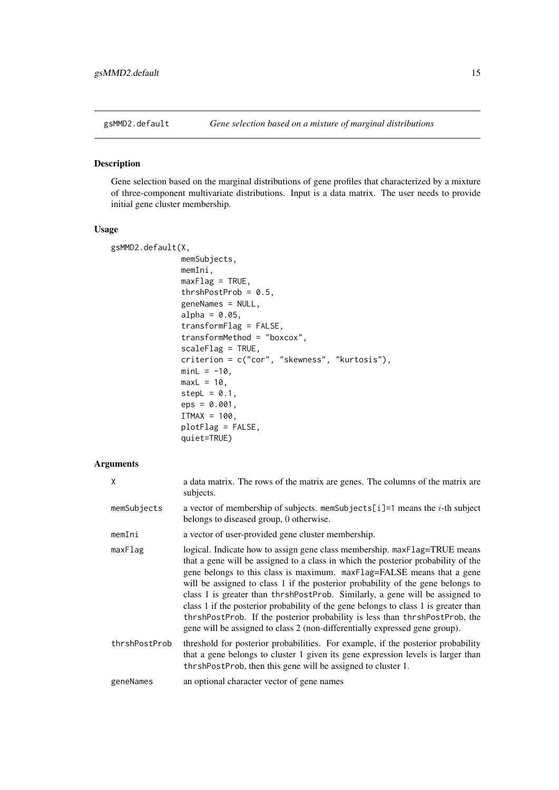<span id="page-14-1"></span><span id="page-14-0"></span>

#### Description

Gene selection based on the marginal distributions of gene profiles that characterized by a mixture of three-component multivariate distributions. Input is a data matrix. The user needs to provide initial gene cluster membership.

#### Usage

```
gsMMD2.default(X,
               memSubjects,
               memIni,
               maxFlag = TRUE,
               thrshPostProb = 0.5,
               geneNames = NULL,
               alpha = 0.05,
               transformFlag = FALSE,
               transformMethod = "boxcox",
               scaleFlag = TRUE,
               criterion = c("cor", "skewness", "kurtosis"),
               minL = -10,
               maxL = 10,
               stepL = 0.1,
               eps = 0.001,
               ITMAX = 100,plotFlag = FALSE,
               quiet=TRUE)
```

| X             | a data matrix. The rows of the matrix are genes. The columns of the matrix are<br>subjects.                                                                                                                                                                                                                                                                                                                                                                                                                                                                                                                                                                      |
|---------------|------------------------------------------------------------------------------------------------------------------------------------------------------------------------------------------------------------------------------------------------------------------------------------------------------------------------------------------------------------------------------------------------------------------------------------------------------------------------------------------------------------------------------------------------------------------------------------------------------------------------------------------------------------------|
| memSubjects   | a vector of membership of subjects. memSubjects[i]=1 means the $i$ -th subject<br>belongs to diseased group, 0 otherwise.                                                                                                                                                                                                                                                                                                                                                                                                                                                                                                                                        |
| memIni        | a vector of user-provided gene cluster membership.                                                                                                                                                                                                                                                                                                                                                                                                                                                                                                                                                                                                               |
| maxFlag       | logical. Indicate how to assign gene class membership. maxFlag=TRUE means<br>that a gene will be assigned to a class in which the posterior probability of the<br>gene belongs to this class is maximum. maxFlag=FALSE means that a gene<br>will be assigned to class 1 if the posterior probability of the gene belongs to<br>class 1 is greater than thrshPostProb. Similarly, a gene will be assigned to<br>class 1 if the posterior probability of the gene belongs to class 1 is greater than<br>thrshPostProb. If the posterior probability is less than thrshPostProb, the<br>gene will be assigned to class 2 (non-differentially expressed gene group). |
| thrshPostProb | threshold for posterior probabilities. For example, if the posterior probability<br>that a gene belongs to cluster 1 given its gene expression levels is larger than<br>thrshPostProb, then this gene will be assigned to cluster 1.                                                                                                                                                                                                                                                                                                                                                                                                                             |
| geneNames     | an optional character vector of gene names                                                                                                                                                                                                                                                                                                                                                                                                                                                                                                                                                                                                                       |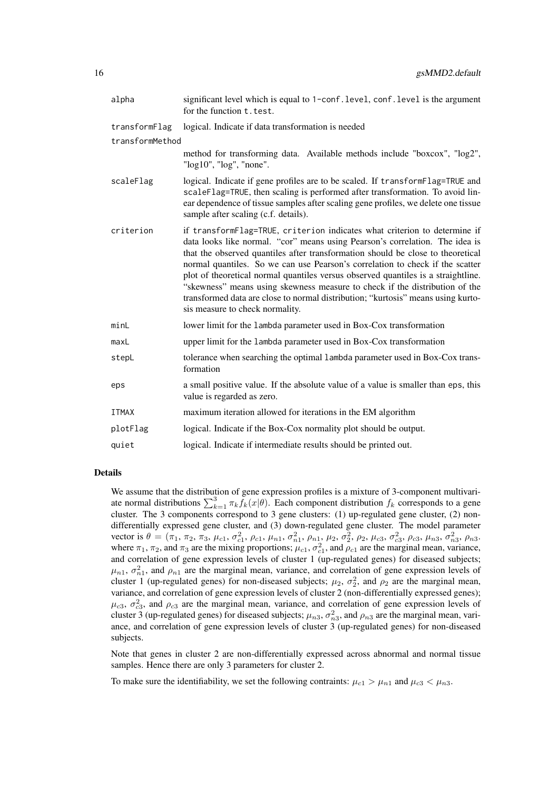| alpha           | significant level which is equal to 1-conf. level, conf. level is the argument<br>for the function t. test.                                                                                                                                                                                                                                                                                                                                                                                                                                                                                                              |
|-----------------|--------------------------------------------------------------------------------------------------------------------------------------------------------------------------------------------------------------------------------------------------------------------------------------------------------------------------------------------------------------------------------------------------------------------------------------------------------------------------------------------------------------------------------------------------------------------------------------------------------------------------|
| transformFlag   | logical. Indicate if data transformation is needed                                                                                                                                                                                                                                                                                                                                                                                                                                                                                                                                                                       |
| transformMethod |                                                                                                                                                                                                                                                                                                                                                                                                                                                                                                                                                                                                                          |
|                 | method for transforming data. Available methods include "boxcox", "log2",<br>"log10", "log", "none".                                                                                                                                                                                                                                                                                                                                                                                                                                                                                                                     |
| scaleFlag       | logical. Indicate if gene profiles are to be scaled. If transformFlag=TRUE and<br>scaleFlag=TRUE, then scaling is performed after transformation. To avoid lin-<br>ear dependence of tissue samples after scaling gene profiles, we delete one tissue<br>sample after scaling (c.f. details).                                                                                                                                                                                                                                                                                                                            |
| criterion       | if transformFlag=TRUE, criterion indicates what criterion to determine if<br>data looks like normal. "cor" means using Pearson's correlation. The idea is<br>that the observed quantiles after transformation should be close to theoretical<br>normal quantiles. So we can use Pearson's correlation to check if the scatter<br>plot of theoretical normal quantiles versus observed quantiles is a straightline.<br>"skewness" means using skewness measure to check if the distribution of the<br>transformed data are close to normal distribution; "kurtosis" means using kurto-<br>sis measure to check normality. |
| minL            | lower limit for the lambda parameter used in Box-Cox transformation                                                                                                                                                                                                                                                                                                                                                                                                                                                                                                                                                      |
| maxL            | upper limit for the lambda parameter used in Box-Cox transformation                                                                                                                                                                                                                                                                                                                                                                                                                                                                                                                                                      |
| stepL           | tolerance when searching the optimal lambda parameter used in Box-Cox trans-<br>formation                                                                                                                                                                                                                                                                                                                                                                                                                                                                                                                                |
| eps             | a small positive value. If the absolute value of a value is smaller than eps, this<br>value is regarded as zero.                                                                                                                                                                                                                                                                                                                                                                                                                                                                                                         |
| <b>ITMAX</b>    | maximum iteration allowed for iterations in the EM algorithm                                                                                                                                                                                                                                                                                                                                                                                                                                                                                                                                                             |
| plotFlag        | logical. Indicate if the Box-Cox normality plot should be output.                                                                                                                                                                                                                                                                                                                                                                                                                                                                                                                                                        |
| quiet           | logical. Indicate if intermediate results should be printed out.                                                                                                                                                                                                                                                                                                                                                                                                                                                                                                                                                         |

#### Details

We assume that the distribution of gene expression profiles is a mixture of 3-component multivariate normal distributions  $\sum_{k=1}^{3} \pi_k f_k(x|\theta)$ . Each component distribution  $f_k$  corresponds to a gene cluster. The 3 components correspond to 3 gene clusters: (1) up-regulated gene cluster, (2) nondifferentially expressed gene cluster, and (3) down-regulated gene cluster. The model parameter vector is  $\theta = (\pi_1, \pi_2, \pi_3, \mu_{c1}, \sigma_{c1}^2, \rho_{c1}, \mu_{n1}, \sigma_{n1}^2, \rho_{n1}, \mu_2, \sigma_2^2, \rho_2, \mu_{c3}, \sigma_{c3}^2, \rho_{c3}, \mu_{n3}, \sigma_{n3}^2, \rho_{n3}$ where  $\pi_1$ ,  $\pi_2$ , and  $\pi_3$  are the mixing proportions;  $\mu_{c1}$ ,  $\sigma_{c1}^2$ , and  $\rho_{c1}$  are the marginal mean, variance, and correlation of gene expression levels of cluster 1 (up-regulated genes) for diseased subjects;  $\mu_{n1}$ ,  $\sigma_{n1}^2$ , and  $\rho_{n1}$  are the marginal mean, variance, and correlation of gene expression levels of cluster 1 (up-regulated genes) for non-diseased subjects;  $\mu_2$ ,  $\sigma_2^2$ , and  $\rho_2$  are the marginal mean, variance, and correlation of gene expression levels of cluster 2 (non-differentially expressed genes);  $\mu_{c3}$ ,  $\sigma_{c3}^2$ , and  $\rho_{c3}$  are the marginal mean, variance, and correlation of gene expression levels of cluster 3 (up-regulated genes) for diseased subjects;  $\mu_{n3}$ ,  $\sigma_{n3}^2$ , and  $\rho_{n3}$  are the marginal mean, variance, and correlation of gene expression levels of cluster 3 (up-regulated genes) for non-diseased subjects.

Note that genes in cluster 2 are non-differentially expressed across abnormal and normal tissue samples. Hence there are only 3 parameters for cluster 2.

To make sure the identifiability, we set the following contraints:  $\mu_{c1} > \mu_{n1}$  and  $\mu_{c3} < \mu_{n3}$ .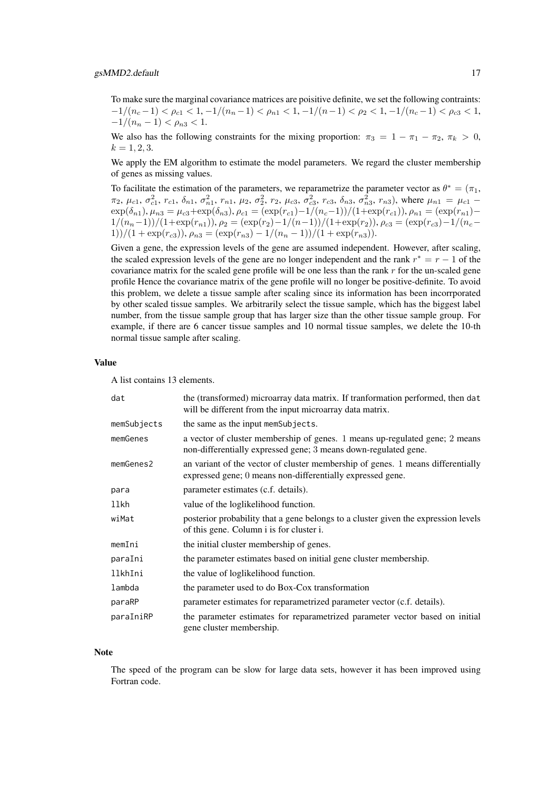To make sure the marginal covariance matrices are poisitive definite, we set the following contraints:  $-1/(n_c-1) < \rho_{c1} < 1, -1/(n_n-1) < \rho_{n1} < 1, -1/(n-1) < \rho_2 < 1, -1/(n_c-1) < \rho_{c3} < 1,$  $-1/(n_n-1) < \rho_{n3} < 1.$ 

We also has the following constraints for the mixing proportion:  $\pi_3 = 1 - \pi_1 - \pi_2$ ,  $\pi_k > 0$ ,  $k = 1, 2, 3.$ 

We apply the EM algorithm to estimate the model parameters. We regard the cluster membership of genes as missing values.

To facilitate the estimation of the parameters, we reparametrize the parameter vector as  $\theta^* = (\pi_1, \pi_2)$  $\pi_2$ ,  $\mu_{c1}$ ,  $\sigma_{c1}^2$ ,  $r_{c1}$ ,  $\delta_{n1}$ ,  $\sigma_{n1}^2$ ,  $r_{n1}$ ,  $\mu_2$ ,  $\sigma_2^2$ ,  $r_2$ ,  $\mu_{c3}$ ,  $\sigma_{c3}^2$ ,  $r_{c3}$ ,  $\delta_{n3}$ ,  $\sigma_{n3}^2$ ,  $r_{n3}$ ), where  $\mu_{n1} = \mu_{c1}$  - $\exp(\delta_{n1}), \mu_{n3} = \mu_{c3} + \exp(\delta_{n3}), \rho_{c1} = (\exp(r_{c1}) - 1/(n_c-1))/(1+\exp(r_{c1})), \rho_{n1} = (\exp(r_{n1}) 1/(n_n-1))/(1+\exp(r_{n1})), \rho_2 = (\exp(r_2)-1/(n-1))/(1+\exp(r_2)), \rho_{c3} = (\exp(r_{c3})-1/(n_c-1))$ 1))/(1 + exp(r<sub>c3</sub>)),  $\rho_{n3} = \frac{\exp(r_{n3}) - 1}{n_n - 1}$ )/(1 + exp(r<sub>n3</sub>)).

Given a gene, the expression levels of the gene are assumed independent. However, after scaling, the scaled expression levels of the gene are no longer independent and the rank  $r^* = r - 1$  of the covariance matrix for the scaled gene profile will be one less than the rank  $r$  for the un-scaled gene profile Hence the covariance matrix of the gene profile will no longer be positive-definite. To avoid this problem, we delete a tissue sample after scaling since its information has been incorrporated by other scaled tissue samples. We arbitrarily select the tissue sample, which has the biggest label number, from the tissue sample group that has larger size than the other tissue sample group. For example, if there are 6 cancer tissue samples and 10 normal tissue samples, we delete the 10-th normal tissue sample after scaling.

#### Value

A list contains 13 elements.

| dat         | the (transformed) microarray data matrix. If tranformation performed, then dat<br>will be different from the input microarray data matrix.     |
|-------------|------------------------------------------------------------------------------------------------------------------------------------------------|
| memSubjects | the same as the input memSubjects.                                                                                                             |
| memGenes    | a vector of cluster membership of genes. 1 means up-regulated gene; 2 means<br>non-differentially expressed gene; 3 means down-regulated gene. |
| memGenes2   | an variant of the vector of cluster membership of genes. 1 means differentially<br>expressed gene; 0 means non-differentially expressed gene.  |
| para        | parameter estimates (c.f. details).                                                                                                            |
| llkh        | value of the loglikelihood function.                                                                                                           |
| wiMat       | posterior probability that a gene belongs to a cluster given the expression levels<br>of this gene. Column i is for cluster i.                 |
| memIni      | the initial cluster membership of genes.                                                                                                       |
| paraIni     | the parameter estimates based on initial gene cluster membership.                                                                              |
| llkhIni     | the value of loglikelihood function.                                                                                                           |
| lambda      | the parameter used to do Box-Cox transformation                                                                                                |
| paraRP      | parameter estimates for reparametrized parameter vector (c.f. details).                                                                        |
| paraIniRP   | the parameter estimates for reparametrized parameter vector based on initial<br>gene cluster membership.                                       |

#### Note

The speed of the program can be slow for large data sets, however it has been improved using Fortran code.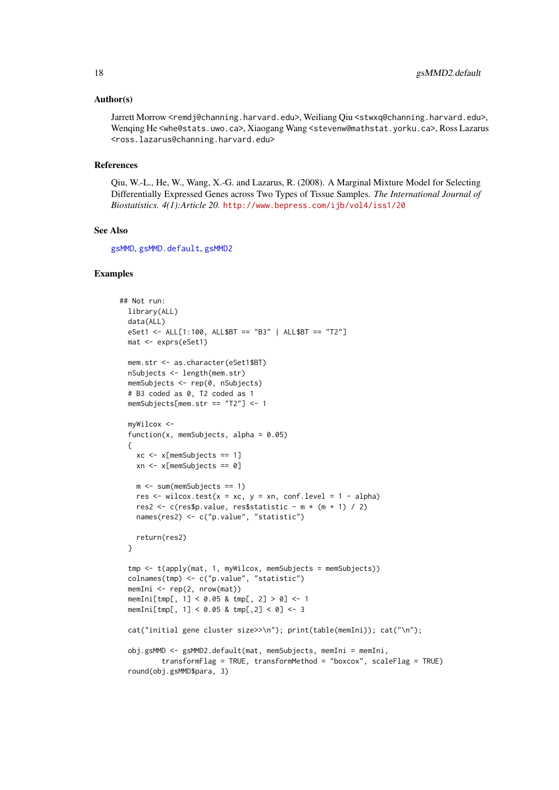#### <span id="page-17-0"></span>Author(s)

Jarrett Morrow <remdj@channing.harvard.edu>, Weiliang Qiu <stwxq@channing.harvard.edu>, Wenqing He <whe@stats.uwo.ca>, Xiaogang Wang <stevenw@mathstat.yorku.ca>, Ross Lazarus <ross.lazarus@channing.harvard.edu>

#### References

Qiu, W.-L., He, W., Wang, X.-G. and Lazarus, R. (2008). A Marginal Mixture Model for Selecting Differentially Expressed Genes across Two Types of Tissue Samples. *The International Journal of Biostatistics. 4(1):Article 20.* <http://www.bepress.com/ijb/vol4/iss1/20>

#### See Also

[gsMMD](#page-2-1), [gsMMD.default](#page-6-1), [gsMMD2](#page-10-1)

```
## Not run:
 library(ALL)
 data(ALL)
 eSet1 <- ALL[1:100, ALL$BT == "B3" | ALL$BT == "T2"]
 mat <- exprs(eSet1)
 mem.str <- as.character(eSet1$BT)
 nSubjects <- length(mem.str)
 memSubjects <- rep(0, nSubjects)
 # B3 coded as 0, T2 coded as 1
 memSubjects[mem.str == "T2"] <- 1
 myWilcox <-
 function(x, memSubjects, alpha = 0.05)
  {
   xc <- x[memSubjects == 1]
   xn <- x[memSubjects == 0]
   m <- sum(memSubjects == 1)
   res \le wilcox.test(x = xc, y = xn, conf.level = 1 - alpha)
   res2 <- c(res$p.value, res$statistic - m * (m + 1) / 2)
   names(res2) <- c("p.value", "statistic")
   return(res2)
 }
  tmp <- t(apply(mat, 1, myWilcox, memSubjects = memSubjects))
 colnames(tmp) <- c("p.value", "statistic")
 memIni <- rep(2, nrow(mat))
 memIni[tmp[, 1] < 0.05 & tmp[, 2] > 0] <- 1
 memIni[tmp[, 1] < 0.05 & tmp[,2] < 0] <- 3
 cat("initial gene cluster size>>\n"); print(table(memIni)); cat("\n");
 obj.gsMMD <- gsMMD2.default(mat, memSubjects, memIni = memIni,
          transformFlag = TRUE, transformMethod = "boxcox", scaleFlag = TRUE)
 round(obj.gsMMD$para, 3)
```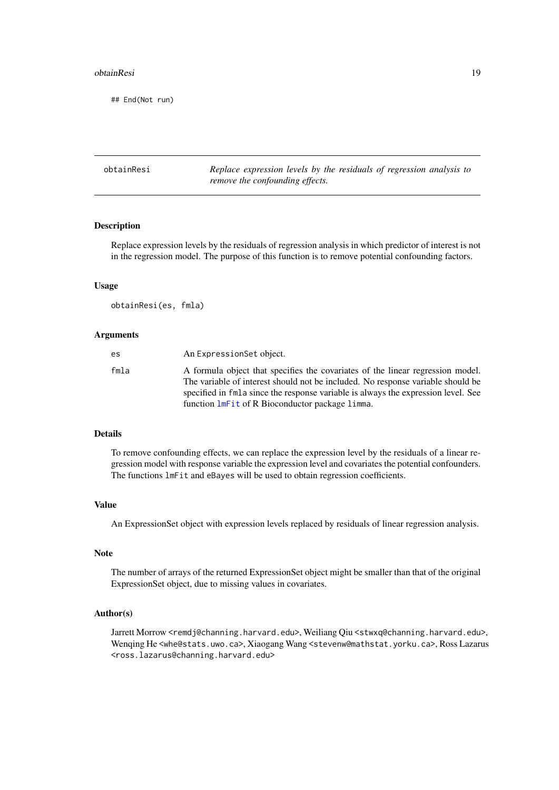#### <span id="page-18-0"></span>obtainResi 19

## End(Not run)

| obtainResi | Replace expression levels by the residuals of regression analysis to |
|------------|----------------------------------------------------------------------|
|            | remove the confounding effects.                                      |

#### Description

Replace expression levels by the residuals of regression analysis in which predictor of interest is not in the regression model. The purpose of this function is to remove potential confounding factors.

#### Usage

```
obtainResi(es, fmla)
```
#### Arguments

| es.  | An Expression Set object.                                                                                                                                                                                                                                                                                 |
|------|-----------------------------------------------------------------------------------------------------------------------------------------------------------------------------------------------------------------------------------------------------------------------------------------------------------|
| fmla | A formula object that specifies the covariates of the linear regression model.<br>The variable of interest should not be included. No response variable should be<br>specified in fmla since the response variable is always the expression level. See<br>function lmFit of R Bioconductor package limma. |

#### Details

To remove confounding effects, we can replace the expression level by the residuals of a linear regression model with response variable the expression level and covariates the potential confounders. The functions lmFit and eBayes will be used to obtain regression coefficients.

#### Value

An ExpressionSet object with expression levels replaced by residuals of linear regression analysis.

#### Note

The number of arrays of the returned ExpressionSet object might be smaller than that of the original ExpressionSet object, due to missing values in covariates.

#### Author(s)

Jarrett Morrow <remdj@channing.harvard.edu>, Weiliang Qiu <stwxq@channing.harvard.edu>, Wenqing He <whe@stats.uwo.ca>, Xiaogang Wang <stevenw@mathstat.yorku.ca>, Ross Lazarus <ross.lazarus@channing.harvard.edu>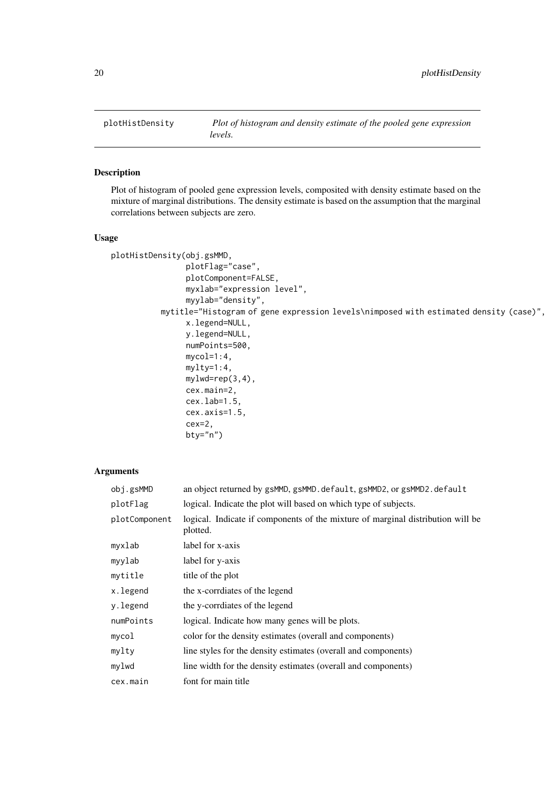<span id="page-19-0"></span>

#### Description

Plot of histogram of pooled gene expression levels, composited with density estimate based on the mixture of marginal distributions. The density estimate is based on the assumption that the marginal correlations between subjects are zero.

#### Usage

```
plotHistDensity(obj.gsMMD,
                plotFlag="case",
                plotComponent=FALSE,
                myxlab="expression level",
                myylab="density",
           mytitle="Histogram of gene expression levels\nimposed with estimated density (case)",
                x.legend=NULL,
                y.legend=NULL,
                numPoints=500,
                mycol=1:4,
                mylty=1:4,
                mylwd=rep(3,4),
                cex.main=2,
                cex.lab=1.5,
                cex.axis=1.5,
                cex=2,
```

```
bty="n")
```

| obj.gsMMD     | an object returned by gsMMD, gsMMD. default, gsMMD2, or gsMMD2. default                     |
|---------------|---------------------------------------------------------------------------------------------|
| plotFlag      | logical. Indicate the plot will based on which type of subjects.                            |
| plotComponent | logical. Indicate if components of the mixture of marginal distribution will be<br>plotted. |
| myxlab        | label for x-axis                                                                            |
| myylab        | label for y-axis                                                                            |
| mytitle       | title of the plot                                                                           |
| x.legend      | the x-corrdiates of the legend                                                              |
| y.legend      | the y-corrdiates of the legend                                                              |
| numPoints     | logical. Indicate how many genes will be plots.                                             |
| mycol         | color for the density estimates (overall and components)                                    |
| mylty         | line styles for the density estimates (overall and components)                              |
| mylwd         | line width for the density estimates (overall and components)                               |
| cex.main      | font for main title                                                                         |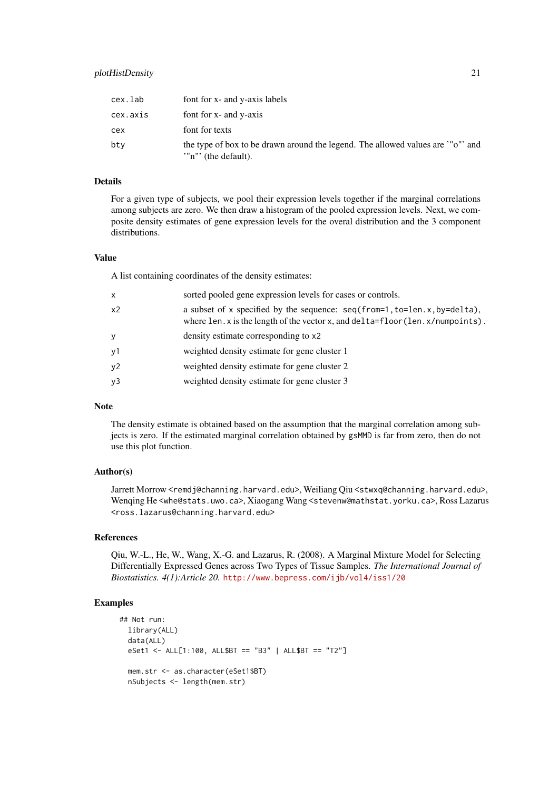#### plotHistDensity 21

| cex.lab  | font for x- and y-axis labels                                                                          |
|----------|--------------------------------------------------------------------------------------------------------|
| cex.axis | font for x- and y-axis                                                                                 |
| cex      | font for texts                                                                                         |
| bty      | the type of box to be drawn around the legend. The allowed values are '"o"' and<br>"n"' (the default). |

#### Details

For a given type of subjects, we pool their expression levels together if the marginal correlations among subjects are zero. We then draw a histogram of the pooled expression levels. Next, we composite density estimates of gene expression levels for the overal distribution and the 3 component distributions.

#### Value

A list containing coordinates of the density estimates:

| x  | sorted pooled gene expression levels for cases or controls.                                                                                                   |
|----|---------------------------------------------------------------------------------------------------------------------------------------------------------------|
| x2 | a subset of x specified by the sequence: $seq(from=1, to=len.x, by=delta1,$<br>where len. x is the length of the vector x, and delta=floor(len. x/numpoints). |
| У  | density estimate corresponding to x2                                                                                                                          |
| у1 | weighted density estimate for gene cluster 1                                                                                                                  |
| y2 | weighted density estimate for gene cluster 2                                                                                                                  |
| y3 | weighted density estimate for gene cluster 3                                                                                                                  |
|    |                                                                                                                                                               |

#### Note

The density estimate is obtained based on the assumption that the marginal correlation among subjects is zero. If the estimated marginal correlation obtained by gsMMD is far from zero, then do not use this plot function.

#### Author(s)

Jarrett Morrow <remdj@channing.harvard.edu>, Weiliang Oiu <stwxq@channing.harvard.edu>, Wenqing He <whe@stats.uwo.ca>, Xiaogang Wang <stevenw@mathstat.yorku.ca>, Ross Lazarus <ross.lazarus@channing.harvard.edu>

#### References

Qiu, W.-L., He, W., Wang, X.-G. and Lazarus, R. (2008). A Marginal Mixture Model for Selecting Differentially Expressed Genes across Two Types of Tissue Samples. *The International Journal of Biostatistics. 4(1):Article 20.* <http://www.bepress.com/ijb/vol4/iss1/20>

```
## Not run:
 library(ALL)
 data(ALL)
 eSet1 <- ALL[1:100, ALL$BT == "B3" | ALL$BT == "T2"]
 mem.str <- as.character(eSet1$BT)
 nSubjects <- length(mem.str)
```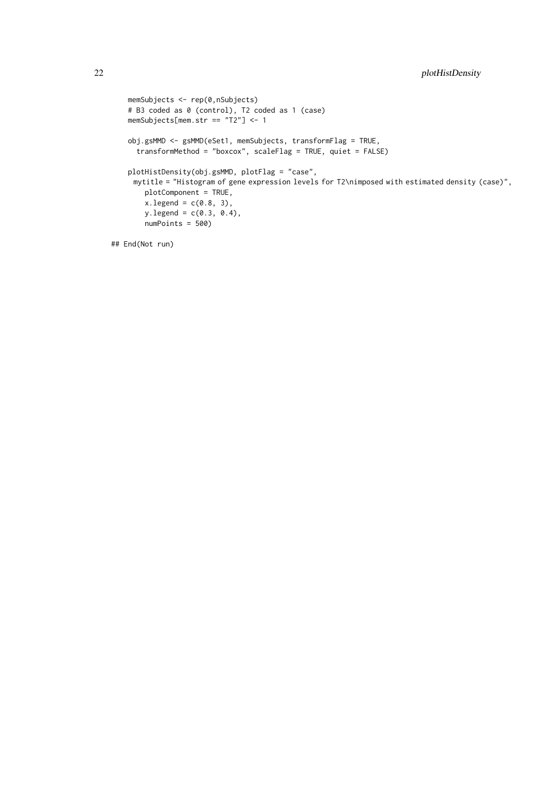```
memSubjects <- rep(0,nSubjects)
# B3 coded as 0 (control), T2 coded as 1 (case)
memSubjects[mem.str == "T2"] <- 1
obj.gsMMD <- gsMMD(eSet1, memSubjects, transformFlag = TRUE,
 transformMethod = "boxcox", scaleFlag = TRUE, quiet = FALSE)
plotHistDensity(obj.gsMMD, plotFlag = "case",
 mytitle = "Histogram of gene expression levels for T2\nimposed with estimated density (case)",
    plotComponent = TRUE,
    x.\text{legend} = c(0.8, 3),y.legend = c(0.3, 0.4),
    numPoints = 500)
```
## End(Not run)